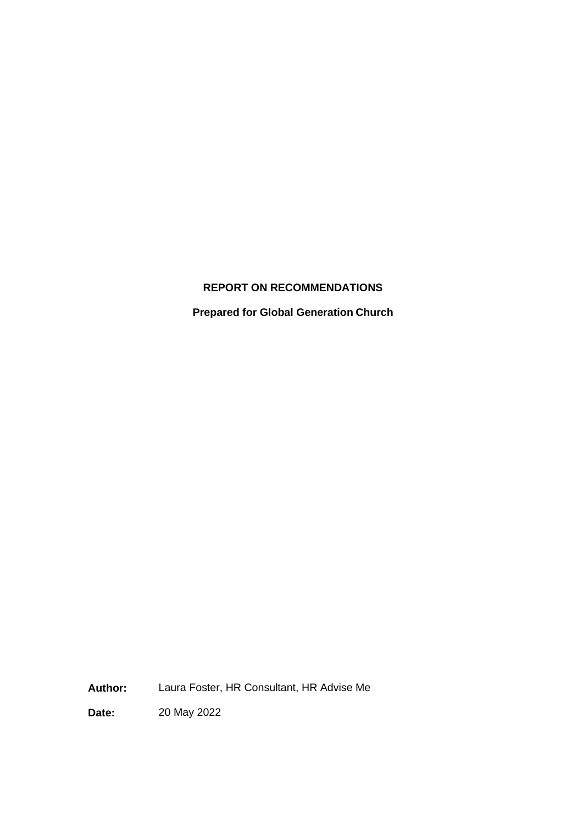# **REPORT ON RECOMMENDATIONS**

**Prepared for Global Generation Church**

**Author:** Laura Foster, HR Consultant, HR Advise Me

**Date:** 20 May 2022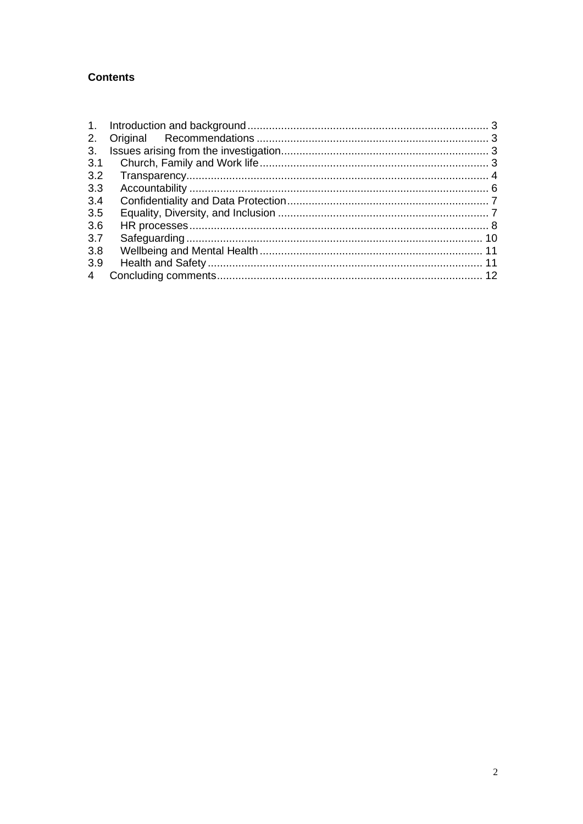# **Contents**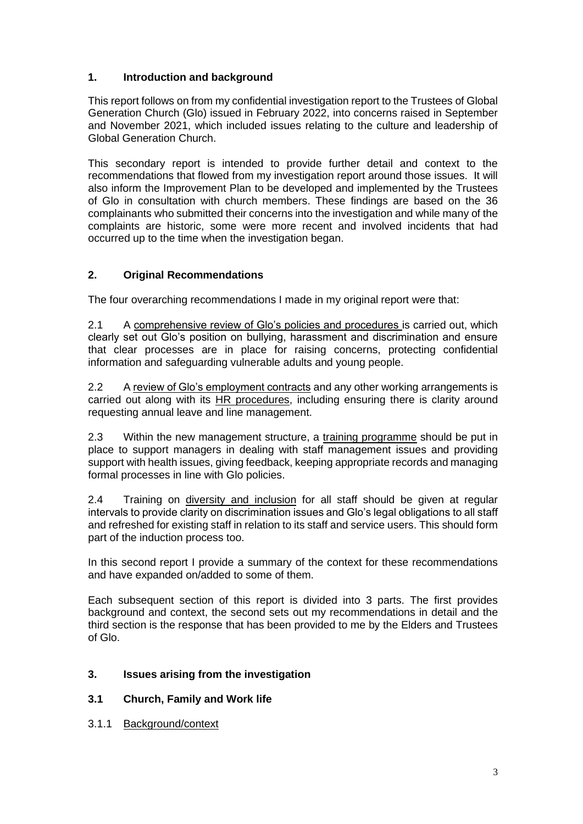# <span id="page-2-0"></span>**1. Introduction and background**

This report follows on from my confidential investigation report to the Trustees of Global Generation Church (Glo) issued in February 2022, into concerns raised in September and November 2021, which included issues relating to the culture and leadership of Global Generation Church.

This secondary report is intended to provide further detail and context to the recommendations that flowed from my investigation report around those issues. It will also inform the Improvement Plan to be developed and implemented by the Trustees of Glo in consultation with church members. These findings are based on the 36 complainants who submitted their concerns into the investigation and while many of the complaints are historic, some were more recent and involved incidents that had occurred up to the time when the investigation began.

# <span id="page-2-1"></span>**2. Original Recommendations**

The four overarching recommendations I made in my original report were that:

2.1 A comprehensive review of Glo's policies and procedures is carried out, which clearly set out Glo's position on bullying, harassment and discrimination and ensure that clear processes are in place for raising concerns, protecting confidential information and safeguarding vulnerable adults and young people.

2.2 A review of Glo's employment contracts and any other working arrangements is carried out along with its HR procedures, including ensuring there is clarity around requesting annual leave and line management.

2.3 Within the new management structure, a training programme should be put in place to support managers in dealing with staff management issues and providing support with health issues, giving feedback, keeping appropriate records and managing formal processes in line with Glo policies.

2.4 Training on diversity and inclusion for all staff should be given at regular intervals to provide clarity on discrimination issues and Glo's legal obligations to all staff and refreshed for existing staff in relation to its staff and service users. This should form part of the induction process too.

In this second report I provide a summary of the context for these recommendations and have expanded on/added to some of them.

Each subsequent section of this report is divided into 3 parts. The first provides background and context, the second sets out my recommendations in detail and the third section is the response that has been provided to me by the Elders and Trustees of Glo.

# <span id="page-2-2"></span>**3. Issues arising from the investigation**

# <span id="page-2-3"></span>**3.1 Church, Family and Work life**

3.1.1 Background/context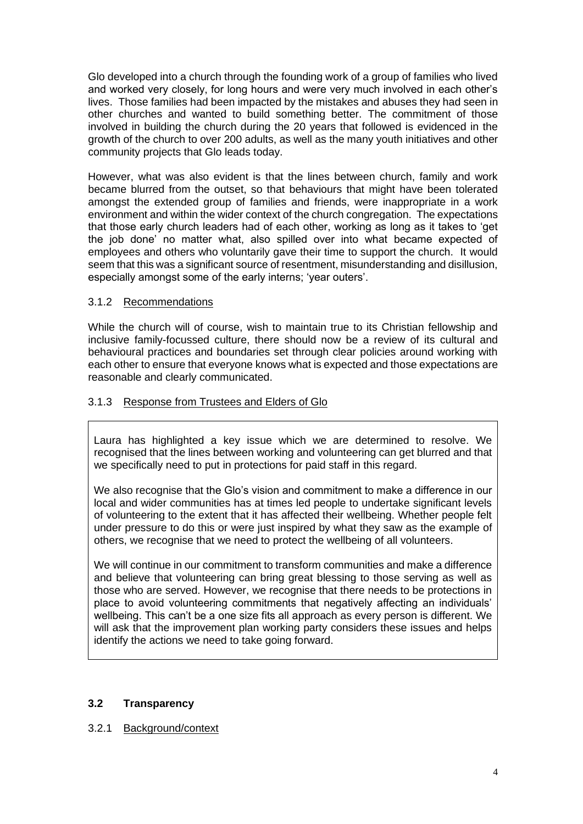Glo developed into a church through the founding work of a group of families who lived and worked very closely, for long hours and were very much involved in each other's lives. Those families had been impacted by the mistakes and abuses they had seen in other churches and wanted to build something better. The commitment of those involved in building the church during the 20 years that followed is evidenced in the growth of the church to over 200 adults, as well as the many youth initiatives and other community projects that Glo leads today.

However, what was also evident is that the lines between church, family and work became blurred from the outset, so that behaviours that might have been tolerated amongst the extended group of families and friends, were inappropriate in a work environment and within the wider context of the church congregation. The expectations that those early church leaders had of each other, working as long as it takes to 'get the job done' no matter what, also spilled over into what became expected of employees and others who voluntarily gave their time to support the church. It would seem that this was a significant source of resentment, misunderstanding and disillusion, especially amongst some of the early interns; 'year outers'.

### 3.1.2 Recommendations

While the church will of course, wish to maintain true to its Christian fellowship and inclusive family-focussed culture, there should now be a review of its cultural and behavioural practices and boundaries set through clear policies around working with each other to ensure that everyone knows what is expected and those expectations are reasonable and clearly communicated.

### 3.1.3 Response from Trustees and Elders of Glo

Laura has highlighted a key issue which we are determined to resolve. We recognised that the lines between working and volunteering can get blurred and that we specifically need to put in protections for paid staff in this regard.

We also recognise that the Glo's vision and commitment to make a difference in our local and wider communities has at times led people to undertake significant levels of volunteering to the extent that it has affected their wellbeing. Whether people felt under pressure to do this or were just inspired by what they saw as the example of others, we recognise that we need to protect the wellbeing of all volunteers.

We will continue in our commitment to transform communities and make a difference and believe that volunteering can bring great blessing to those serving as well as those who are served. However, we recognise that there needs to be protections in place to avoid volunteering commitments that negatively affecting an individuals' wellbeing. This can't be a one size fits all approach as every person is different. We will ask that the improvement plan working party considers these issues and helps identify the actions we need to take going forward.

# <span id="page-3-0"></span>**3.2 Transparency**

#### 3.2.1 Background/context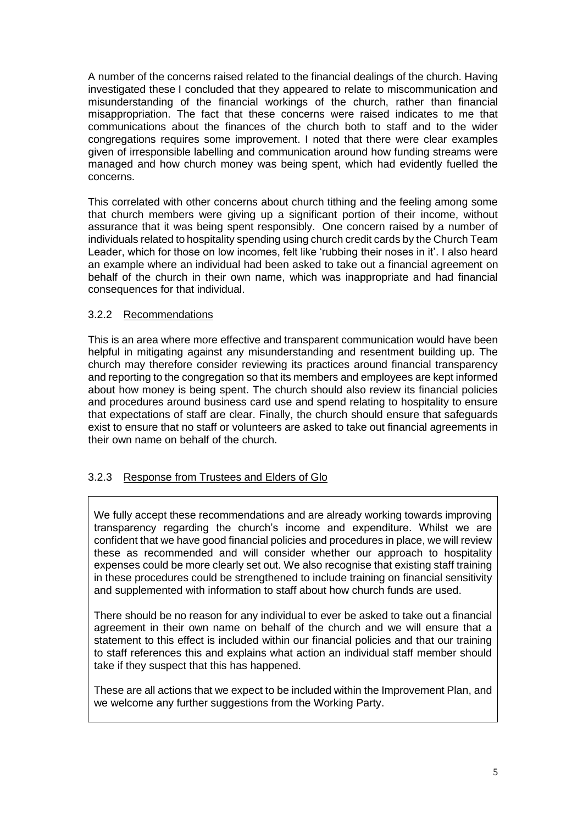A number of the concerns raised related to the financial dealings of the church. Having investigated these I concluded that they appeared to relate to miscommunication and misunderstanding of the financial workings of the church, rather than financial misappropriation. The fact that these concerns were raised indicates to me that communications about the finances of the church both to staff and to the wider congregations requires some improvement. I noted that there were clear examples given of irresponsible labelling and communication around how funding streams were managed and how church money was being spent, which had evidently fuelled the concerns.

This correlated with other concerns about church tithing and the feeling among some that church members were giving up a significant portion of their income, without assurance that it was being spent responsibly. One concern raised by a number of individuals related to hospitality spending using church credit cards by the Church Team Leader, which for those on low incomes, felt like 'rubbing their noses in it'. I also heard an example where an individual had been asked to take out a financial agreement on behalf of the church in their own name, which was inappropriate and had financial consequences for that individual.

# 3.2.2 Recommendations

This is an area where more effective and transparent communication would have been helpful in mitigating against any misunderstanding and resentment building up. The church may therefore consider reviewing its practices around financial transparency and reporting to the congregation so that its members and employees are kept informed about how money is being spent. The church should also review its financial policies and procedures around business card use and spend relating to hospitality to ensure that expectations of staff are clear. Finally, the church should ensure that safeguards exist to ensure that no staff or volunteers are asked to take out financial agreements in their own name on behalf of the church.

# 3.2.3 Response from Trustees and Elders of Glo

We fully accept these recommendations and are already working towards improving transparency regarding the church's income and expenditure. Whilst we are confident that we have good financial policies and procedures in place, we will review these as recommended and will consider whether our approach to hospitality expenses could be more clearly set out. We also recognise that existing staff training in these procedures could be strengthened to include training on financial sensitivity and supplemented with information to staff about how church funds are used.

There should be no reason for any individual to ever be asked to take out a financial agreement in their own name on behalf of the church and we will ensure that a statement to this effect is included within our financial policies and that our training to staff references this and explains what action an individual staff member should take if they suspect that this has happened.

These are all actions that we expect to be included within the Improvement Plan, and we welcome any further suggestions from the Working Party.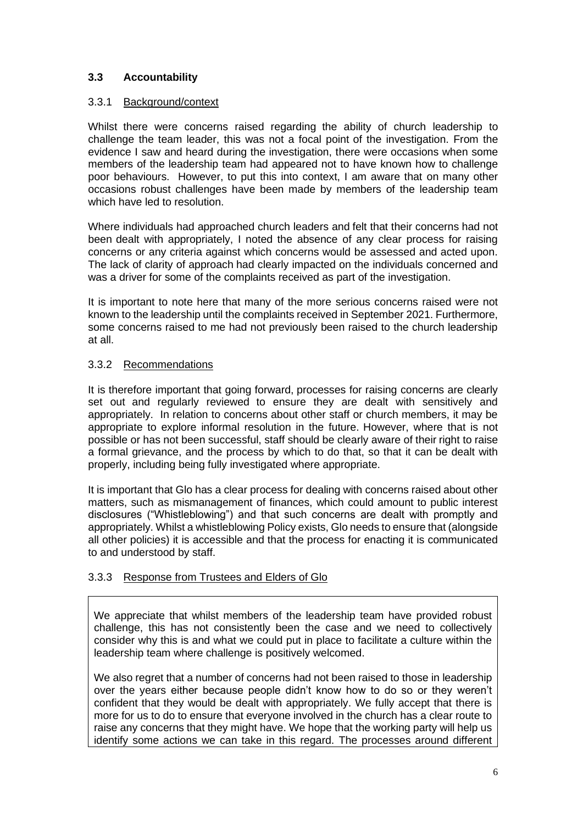# <span id="page-5-0"></span>**3.3 Accountability**

#### 3.3.1 Background/context

Whilst there were concerns raised regarding the ability of church leadership to challenge the team leader, this was not a focal point of the investigation. From the evidence I saw and heard during the investigation, there were occasions when some members of the leadership team had appeared not to have known how to challenge poor behaviours. However, to put this into context, I am aware that on many other occasions robust challenges have been made by members of the leadership team which have led to resolution

Where individuals had approached church leaders and felt that their concerns had not been dealt with appropriately, I noted the absence of any clear process for raising concerns or any criteria against which concerns would be assessed and acted upon. The lack of clarity of approach had clearly impacted on the individuals concerned and was a driver for some of the complaints received as part of the investigation.

It is important to note here that many of the more serious concerns raised were not known to the leadership until the complaints received in September 2021. Furthermore, some concerns raised to me had not previously been raised to the church leadership at all.

### 3.3.2 Recommendations

It is therefore important that going forward, processes for raising concerns are clearly set out and regularly reviewed to ensure they are dealt with sensitively and appropriately. In relation to concerns about other staff or church members, it may be appropriate to explore informal resolution in the future. However, where that is not possible or has not been successful, staff should be clearly aware of their right to raise a formal grievance, and the process by which to do that, so that it can be dealt with properly, including being fully investigated where appropriate.

It is important that Glo has a clear process for dealing with concerns raised about other matters, such as mismanagement of finances, which could amount to public interest disclosures ("Whistleblowing") and that such concerns are dealt with promptly and appropriately. Whilst a whistleblowing Policy exists, Glo needs to ensure that (alongside all other policies) it is accessible and that the process for enacting it is communicated to and understood by staff.

# 3.3.3 Response from Trustees and Elders of Glo

We appreciate that whilst members of the leadership team have provided robust challenge, this has not consistently been the case and we need to collectively consider why this is and what we could put in place to facilitate a culture within the leadership team where challenge is positively welcomed.

We also regret that a number of concerns had not been raised to those in leadership over the years either because people didn't know how to do so or they weren't confident that they would be dealt with appropriately. We fully accept that there is more for us to do to ensure that everyone involved in the church has a clear route to raise any concerns that they might have. We hope that the working party will help us identify some actions we can take in this regard. The processes around different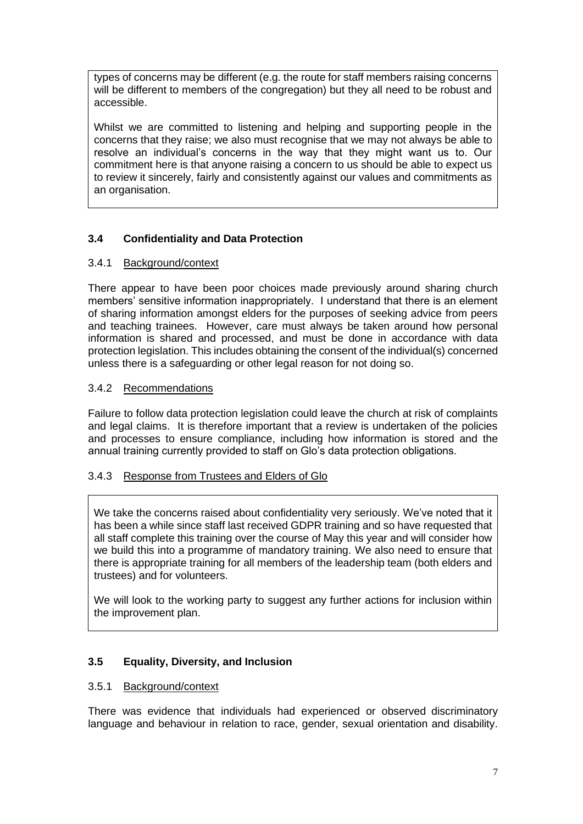types of concerns may be different (e.g. the route for staff members raising concerns will be different to members of the congregation) but they all need to be robust and accessible.

Whilst we are committed to listening and helping and supporting people in the concerns that they raise; we also must recognise that we may not always be able to resolve an individual's concerns in the way that they might want us to. Our commitment here is that anyone raising a concern to us should be able to expect us to review it sincerely, fairly and consistently against our values and commitments as an organisation.

# <span id="page-6-0"></span>**3.4 Confidentiality and Data Protection**

# 3.4.1 Background/context

There appear to have been poor choices made previously around sharing church members' sensitive information inappropriately. I understand that there is an element of sharing information amongst elders for the purposes of seeking advice from peers and teaching trainees. However, care must always be taken around how personal information is shared and processed, and must be done in accordance with data protection legislation. This includes obtaining the consent of the individual(s) concerned unless there is a safeguarding or other legal reason for not doing so.

# 3.4.2 Recommendations

Failure to follow data protection legislation could leave the church at risk of complaints and legal claims. It is therefore important that a review is undertaken of the policies and processes to ensure compliance, including how information is stored and the annual training currently provided to staff on Glo's data protection obligations.

# 3.4.3 Response from Trustees and Elders of Glo

We take the concerns raised about confidentiality very seriously. We've noted that it has been a while since staff last received GDPR training and so have requested that all staff complete this training over the course of May this year and will consider how we build this into a programme of mandatory training. We also need to ensure that there is appropriate training for all members of the leadership team (both elders and trustees) and for volunteers.

We will look to the working party to suggest any further actions for inclusion within the improvement plan.

# <span id="page-6-1"></span>**3.5 Equality, Diversity, and Inclusion**

# 3.5.1 Background/context

There was evidence that individuals had experienced or observed discriminatory language and behaviour in relation to race, gender, sexual orientation and disability.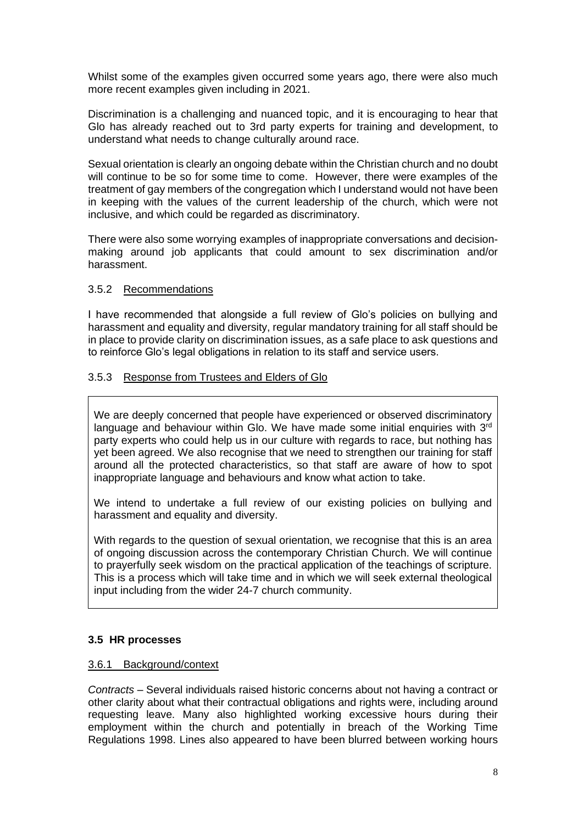Whilst some of the examples given occurred some years ago, there were also much more recent examples given including in 2021.

Discrimination is a challenging and nuanced topic, and it is encouraging to hear that Glo has already reached out to 3rd party experts for training and development, to understand what needs to change culturally around race.

Sexual orientation is clearly an ongoing debate within the Christian church and no doubt will continue to be so for some time to come. However, there were examples of the treatment of gay members of the congregation which I understand would not have been in keeping with the values of the current leadership of the church, which were not inclusive, and which could be regarded as discriminatory.

There were also some worrying examples of inappropriate conversations and decisionmaking around job applicants that could amount to sex discrimination and/or harassment.

#### 3.5.2 Recommendations

I have recommended that alongside a full review of Glo's policies on bullying and harassment and equality and diversity, regular mandatory training for all staff should be in place to provide clarity on discrimination issues, as a safe place to ask questions and to reinforce Glo's legal obligations in relation to its staff and service users.

#### 3.5.3 Response from Trustees and Elders of Glo

We are deeply concerned that people have experienced or observed discriminatory language and behaviour within Glo. We have made some initial enquiries with 3rd party experts who could help us in our culture with regards to race, but nothing has yet been agreed. We also recognise that we need to strengthen our training for staff around all the protected characteristics, so that staff are aware of how to spot inappropriate language and behaviours and know what action to take.

We intend to undertake a full review of our existing policies on bullying and harassment and equality and diversity.

With regards to the question of sexual orientation, we recognise that this is an area of ongoing discussion across the contemporary Christian Church. We will continue to prayerfully seek wisdom on the practical application of the teachings of scripture. This is a process which will take time and in which we will seek external theological input including from the wider 24-7 church community.

#### <span id="page-7-0"></span>**3.5 HR processes**

#### 3.6.1 Background/context

*Contracts* – Several individuals raised historic concerns about not having a contract or other clarity about what their contractual obligations and rights were, including around requesting leave. Many also highlighted working excessive hours during their employment within the church and potentially in breach of the Working Time Regulations 1998. Lines also appeared to have been blurred between working hours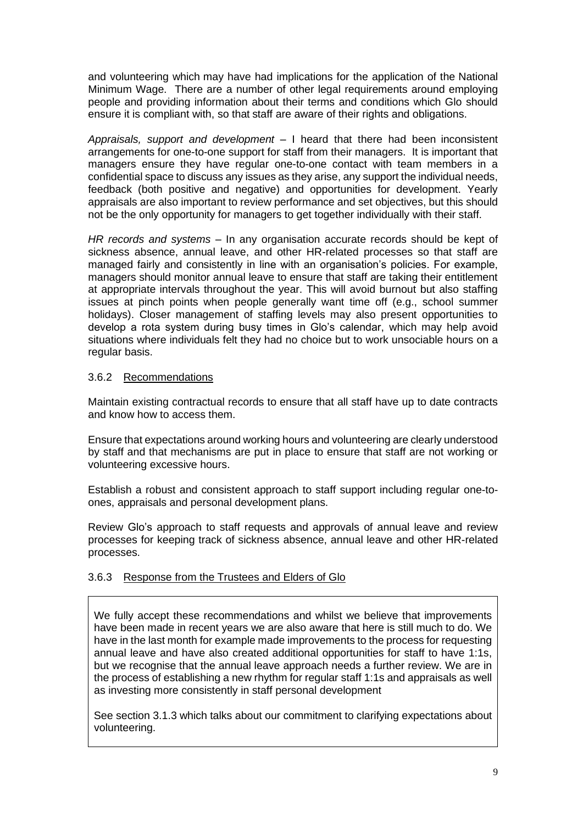and volunteering which may have had implications for the application of the National Minimum Wage. There are a number of other legal requirements around employing people and providing information about their terms and conditions which Glo should ensure it is compliant with, so that staff are aware of their rights and obligations.

*Appraisals, support and development* – I heard that there had been inconsistent arrangements for one-to-one support for staff from their managers. It is important that managers ensure they have regular one-to-one contact with team members in a confidential space to discuss any issues as they arise, any support the individual needs, feedback (both positive and negative) and opportunities for development. Yearly appraisals are also important to review performance and set objectives, but this should not be the only opportunity for managers to get together individually with their staff.

*HR records and systems* – In any organisation accurate records should be kept of sickness absence, annual leave, and other HR-related processes so that staff are managed fairly and consistently in line with an organisation's policies. For example, managers should monitor annual leave to ensure that staff are taking their entitlement at appropriate intervals throughout the year. This will avoid burnout but also staffing issues at pinch points when people generally want time off (e.g., school summer holidays). Closer management of staffing levels may also present opportunities to develop a rota system during busy times in Glo's calendar, which may help avoid situations where individuals felt they had no choice but to work unsociable hours on a regular basis.

### 3.6.2 Recommendations

Maintain existing contractual records to ensure that all staff have up to date contracts and know how to access them.

Ensure that expectations around working hours and volunteering are clearly understood by staff and that mechanisms are put in place to ensure that staff are not working or volunteering excessive hours.

Establish a robust and consistent approach to staff support including regular one-toones, appraisals and personal development plans.

Review Glo's approach to staff requests and approvals of annual leave and review processes for keeping track of sickness absence, annual leave and other HR-related processes.

#### 3.6.3 Response from the Trustees and Elders of Glo

We fully accept these recommendations and whilst we believe that improvements have been made in recent years we are also aware that here is still much to do. We have in the last month for example made improvements to the process for requesting annual leave and have also created additional opportunities for staff to have 1:1s, but we recognise that the annual leave approach needs a further review. We are in the process of establishing a new rhythm for regular staff 1:1s and appraisals as well as investing more consistently in staff personal development

See section 3.1.3 which talks about our commitment to clarifying expectations about volunteering.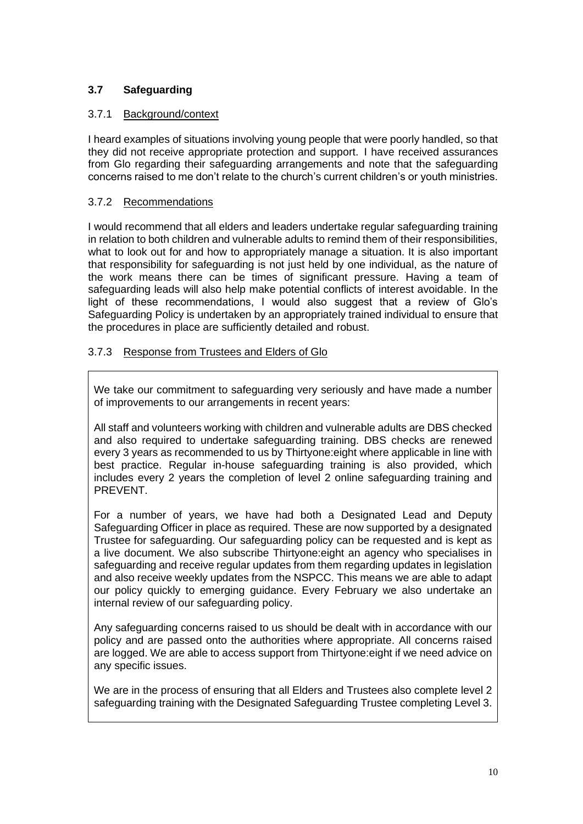# <span id="page-9-0"></span>**3.7 Safeguarding**

# 3.7.1 Background/context

I heard examples of situations involving young people that were poorly handled, so that they did not receive appropriate protection and support. I have received assurances from Glo regarding their safeguarding arrangements and note that the safeguarding concerns raised to me don't relate to the church's current children's or youth ministries.

# 3.7.2 Recommendations

I would recommend that all elders and leaders undertake regular safeguarding training in relation to both children and vulnerable adults to remind them of their responsibilities, what to look out for and how to appropriately manage a situation. It is also important that responsibility for safeguarding is not just held by one individual, as the nature of the work means there can be times of significant pressure. Having a team of safeguarding leads will also help make potential conflicts of interest avoidable. In the light of these recommendations, I would also suggest that a review of Glo's Safeguarding Policy is undertaken by an appropriately trained individual to ensure that the procedures in place are sufficiently detailed and robust.

# 3.7.3 Response from Trustees and Elders of Glo

We take our commitment to safeguarding very seriously and have made a number of improvements to our arrangements in recent years:

All staff and volunteers working with children and vulnerable adults are DBS checked and also required to undertake safeguarding training. DBS checks are renewed every 3 years as recommended to us by Thirtyone:eight where applicable in line with best practice. Regular in-house safeguarding training is also provided, which includes every 2 years the completion of level 2 online safeguarding training and PREVENT.

For a number of years, we have had both a Designated Lead and Deputy Safeguarding Officer in place as required. These are now supported by a designated Trustee for safeguarding. Our safeguarding policy can be requested and is kept as a live document. We also subscribe Thirtyone:eight an agency who specialises in safeguarding and receive regular updates from them regarding updates in legislation and also receive weekly updates from the NSPCC. This means we are able to adapt our policy quickly to emerging guidance. Every February we also undertake an internal review of our safeguarding policy.

Any safeguarding concerns raised to us should be dealt with in accordance with our policy and are passed onto the authorities where appropriate. All concerns raised are logged. We are able to access support from Thirtyone:eight if we need advice on any specific issues.

We are in the process of ensuring that all Elders and Trustees also complete level 2 safeguarding training with the Designated Safeguarding Trustee completing Level 3.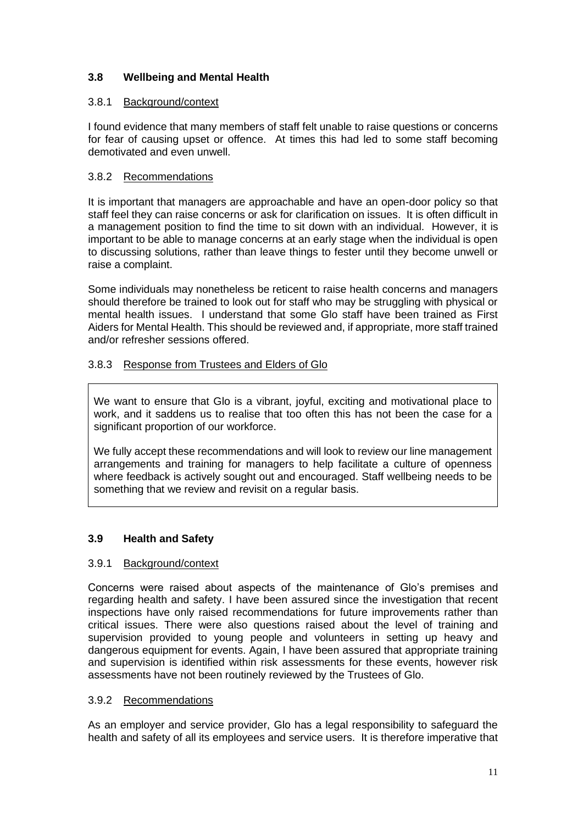# <span id="page-10-0"></span>**3.8 Wellbeing and Mental Health**

#### 3.8.1 Background/context

I found evidence that many members of staff felt unable to raise questions or concerns for fear of causing upset or offence. At times this had led to some staff becoming demotivated and even unwell.

## 3.8.2 Recommendations

It is important that managers are approachable and have an open-door policy so that staff feel they can raise concerns or ask for clarification on issues. It is often difficult in a management position to find the time to sit down with an individual. However, it is important to be able to manage concerns at an early stage when the individual is open to discussing solutions, rather than leave things to fester until they become unwell or raise a complaint.

Some individuals may nonetheless be reticent to raise health concerns and managers should therefore be trained to look out for staff who may be struggling with physical or mental health issues. I understand that some Glo staff have been trained as First Aiders for Mental Health. This should be reviewed and, if appropriate, more staff trained and/or refresher sessions offered.

# 3.8.3 Response from Trustees and Elders of Glo

We want to ensure that Glo is a vibrant, joyful, exciting and motivational place to work, and it saddens us to realise that too often this has not been the case for a significant proportion of our workforce.

We fully accept these recommendations and will look to review our line management arrangements and training for managers to help facilitate a culture of openness where feedback is actively sought out and encouraged. Staff wellbeing needs to be something that we review and revisit on a regular basis.

# <span id="page-10-1"></span>**3.9 Health and Safety**

# 3.9.1 Background/context

Concerns were raised about aspects of the maintenance of Glo's premises and regarding health and safety. I have been assured since the investigation that recent inspections have only raised recommendations for future improvements rather than critical issues. There were also questions raised about the level of training and supervision provided to young people and volunteers in setting up heavy and dangerous equipment for events. Again, I have been assured that appropriate training and supervision is identified within risk assessments for these events, however risk assessments have not been routinely reviewed by the Trustees of Glo.

#### 3.9.2 Recommendations

As an employer and service provider, Glo has a legal responsibility to safeguard the health and safety of all its employees and service users. It is therefore imperative that